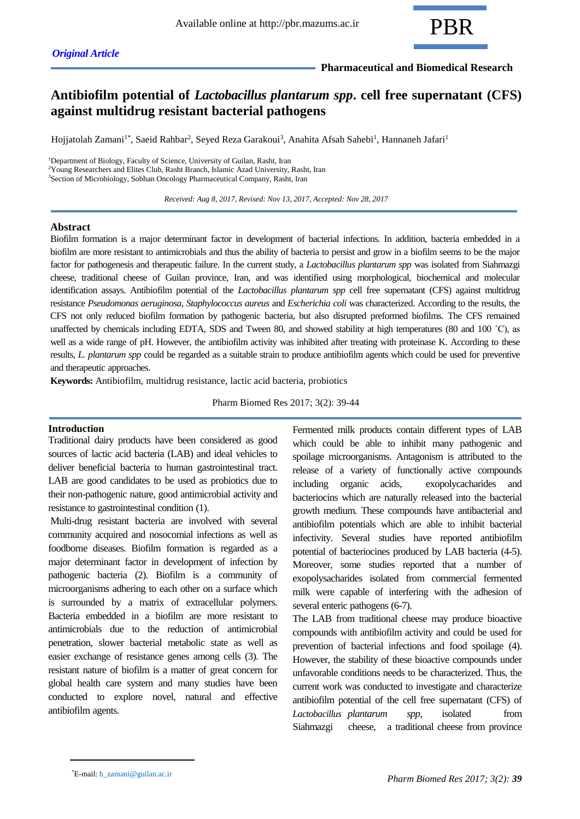

## **Pharmaceutical and Biomedical Research**

# **Antibiofilm potential of** *Lactobacillus plantarum spp***. cell free supernatant (CFS) against multidrug resistant bacterial pathogens**

Hojjatolah Zamani<sup>1\*</sup>, Saeid Rahbar<sup>2</sup>, Seyed Reza Garakoui<sup>3</sup>, Anahita Afsah Sahebi<sup>1</sup>, Hannaneh Jafari<sup>1</sup>

<sup>1</sup>Department of Biology, Faculty of Science, University of Guilan, Rasht, Iran  $2Y$ oung Researchers and Elites Club, Rasht Branch, Islamic Azad University, Rasht, Iran <sup>3</sup>Section of Microbiology, Sobhan Oncology Pharmaceutical Company, Rasht, Iran

 *Received: Aug 8, 2017, Revised: Nov 13, 2017, Accepted: Nov 28, 2017*

## **Abstract**

Biofilm formation is a major determinant factor in development of bacterial infections. In addition, bacteria embedded in a biofilm are more resistant to antimicrobials and thus the ability of bacteria to persist and grow in a biofilm seems to be the major factor for pathogenesis and therapeutic failure. In the current study, a *Lactobacillus plantarum spp* was isolated from Siahmazgi cheese, traditional cheese of Guilan province, Iran, and was identified using morphological, biochemical and molecular identification assays. Antibiofilm potential of the *Lactobacillus plantarum spp* cell free supernatant (CFS) against multidrug resistance *Pseudomonas aeruginosa*, *Staphylococcus aureus* and *Escherichia coli* was characterized. According to the results, the CFS not only reduced biofilm formation by pathogenic bacteria, but also disrupted preformed biofilms. The CFS remained unaffected by chemicals including EDTA, SDS and Tween 80, and showed stability at high temperatures (80 and 100 ˚C), as well as a wide range of pH. However, the antibiofilm activity was inhibited after treating with proteinase K. According to these results, *L. plantarum spp* could be regarded as a suitable strain to produce antibiofilm agents which could be used for preventive and therapeutic approaches.

**Keywords:** Antibiofilm, multidrug resistance, lactic acid bacteria, probiotics

Pharm Biomed Res 2017; 3(2): 39-44

#### **Introduction**

Traditional dairy products have been considered as good sources of lactic acid bacteria (LAB) and ideal vehicles to deliver beneficial bacteria to human gastrointestinal tract. LAB are good candidates to be used as probiotics due to their non-pathogenic nature, good antimicrobial activity and resistance to gastrointestinal condition (1).

Multi-drug resistant bacteria are involved with several community acquired and nosocomial infections as well as foodborne diseases. Biofilm formation is regarded as a major determinant factor in development of infection by pathogenic bacteria (2). Biofilm is a community of microorganisms adhering to each other on a surface which is surrounded by a matrix of extracellular polymers. Bacteria embedded in a biofilm are more resistant to antimicrobials due to the reduction of antimicrobial penetration, slower bacterial metabolic state as well as easier exchange of resistance genes among cells (3). The resistant nature of biofilm is a matter of great concern for global health care system and many studies have been conducted to explore novel, natural and effective antibiofilm agents.

Fermented milk products contain different types of LAB which could be able to inhibit many pathogenic and spoilage microorganisms. Antagonism is attributed to the release of a variety of functionally active compounds including organic acids, exopolycacharides and bacteriocins which are naturally released into the bacterial growth medium. These compounds have antibacterial and antibiofilm potentials which are able to inhibit bacterial infectivity. Several studies have reported antibiofilm potential of bacteriocines produced by LAB bacteria (4-5). Moreover, some studies reported that a number of exopolysacharides isolated from commercial fermented milk were capable of interfering with the adhesion of several enteric pathogens (6-7).

The LAB from traditional cheese may produce bioactive compounds with antibiofilm activity and could be used for prevention of bacterial infections and food spoilage (4). However, the stability of these bioactive compounds under unfavorable conditions needs to be characterized. Thus, the current work was conducted to investigate and characterize antibiofilm potential of the cell free supernatant (CFS) of *Lactobacillus plantarum spp*, isolated from Siahmazgi cheese, a traditional cheese from province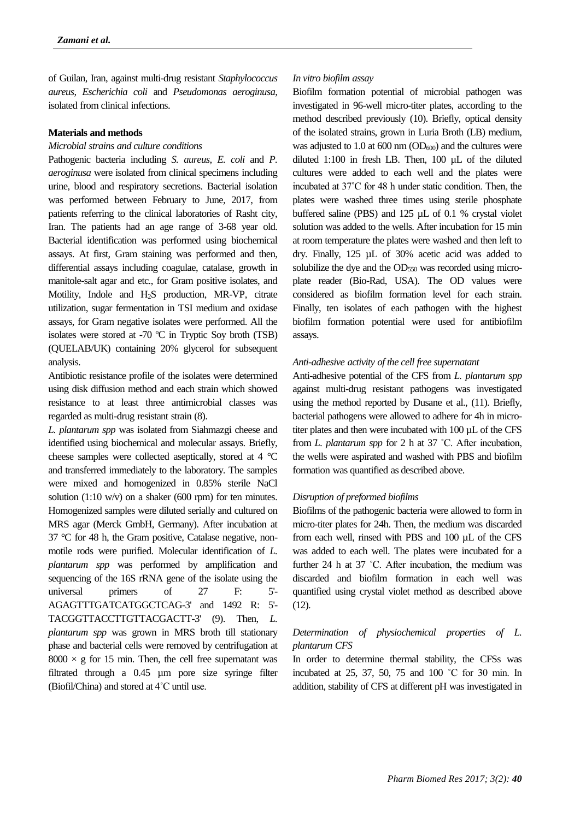of Guilan, Iran, against multi-drug resistant *Staphylococcus aureus*, *Escherichia coli* and *Pseudomonas aeroginusa*, isolated from clinical infections.

#### **Materials and methods**

## *Microbial strains and culture conditions*

Pathogenic bacteria including *S. aureus*, *E. coli* and *P. aeroginusa* were isolated from clinical specimens including urine, blood and respiratory secretions. Bacterial isolation was performed between February to June, 2017, from patients referring to the clinical laboratories of Rasht city, Iran. The patients had an age range of 3-68 year old. Bacterial identification was performed using biochemical assays. At first, Gram staining was performed and then, differential assays including coagulae, catalase, growth in manitole-salt agar and etc., for Gram positive isolates, and Motility, Indole and H2S production, MR-VP, citrate utilization, sugar fermentation in TSI medium and oxidase assays, for Gram negative isolates were performed. All the isolates were stored at -70 ºC in Tryptic Soy broth (TSB) (QUELAB/UK) containing 20% glycerol for subsequent analysis.

Antibiotic resistance profile of the isolates were determined using disk diffusion method and each strain which showed resistance to at least three antimicrobial classes was regarded as multi-drug resistant strain (8).

*L. plantarum spp* was isolated from Siahmazgi cheese and identified using biochemical and molecular assays. Briefly, cheese samples were collected aseptically, stored at 4 °C and transferred immediately to the laboratory. The samples were mixed and homogenized in 0.85% sterile NaCl solution (1:10 w/v) on a shaker (600 rpm) for ten minutes. Homogenized samples were diluted serially and cultured on MRS agar (Merck GmbH, Germany). After incubation at 37 °C for 48 h, the Gram positive, Catalase negative, nonmotile rods were purified. Molecular identification of *L. plantarum spp* was performed by amplification and sequencing of the 16S rRNA gene of the isolate using the universal primers of 27 F: 5'- AGAGTTTGATCATGGCTCAG-3' and 1492 R: 5'- TACGGTTACCTTGTTACGACTT-3' (9). Then, *L. plantarum spp* was grown in MRS broth till stationary phase and bacterial cells were removed by centrifugation at  $8000 \times g$  for 15 min. Then, the cell free supernatant was filtrated through a 0.45 µm pore size syringe filter (Biofil/China) and stored at 4˚C until use.

## *In vitro biofilm assay*

Biofilm formation potential of microbial pathogen was investigated in 96-well micro-titer plates, according to the method described previously (10). Briefly, optical density of the isolated strains, grown in Luria Broth (LB) medium, was adjusted to 1.0 at 600 nm  $OD_{600}$  and the cultures were diluted 1:100 in fresh LB. Then, 100 µL of the diluted cultures were added to each well and the plates were incubated at 37˚C for 48 h under static condition. Then, the plates were washed three times using sterile phosphate buffered saline (PBS) and 125 µL of 0.1 % crystal violet solution was added to the wells. After incubation for 15 min at room temperature the plates were washed and then left to dry. Finally, 125 µL of 30% acetic acid was added to solubilize the dye and the OD<sub>550</sub> was recorded using microplate reader (Bio-Rad, USA). The OD values were considered as biofilm formation level for each strain. Finally, ten isolates of each pathogen with the highest biofilm formation potential were used for antibiofilm assays.

## *Anti-adhesive activity of the cell free supernatant*

Anti-adhesive potential of the CFS from *L. plantarum spp* against multi-drug resistant pathogens was investigated using the method reported by Dusane et al., (11). Briefly, bacterial pathogens were allowed to adhere for 4h in microtiter plates and then were incubated with 100 µL of the CFS from *L. plantarum spp* for 2 h at 37 ˚C. After incubation, the wells were aspirated and washed with PBS and biofilm formation was quantified as described above.

## *Disruption of preformed biofilms*

Biofilms of the pathogenic bacteria were allowed to form in micro-titer plates for 24h. Then, the medium was discarded from each well, rinsed with PBS and 100 µL of the CFS was added to each well. The plates were incubated for a further 24 h at 37 ˚C. After incubation, the medium was discarded and biofilm formation in each well was quantified using crystal violet method as described above (12).

## *Determination of physiochemical properties of L. plantarum CFS*

In order to determine thermal stability, the CFSs was incubated at 25, 37, 50, 75 and 100 ˚C for 30 min. In addition, stability of CFS at different pH was investigated in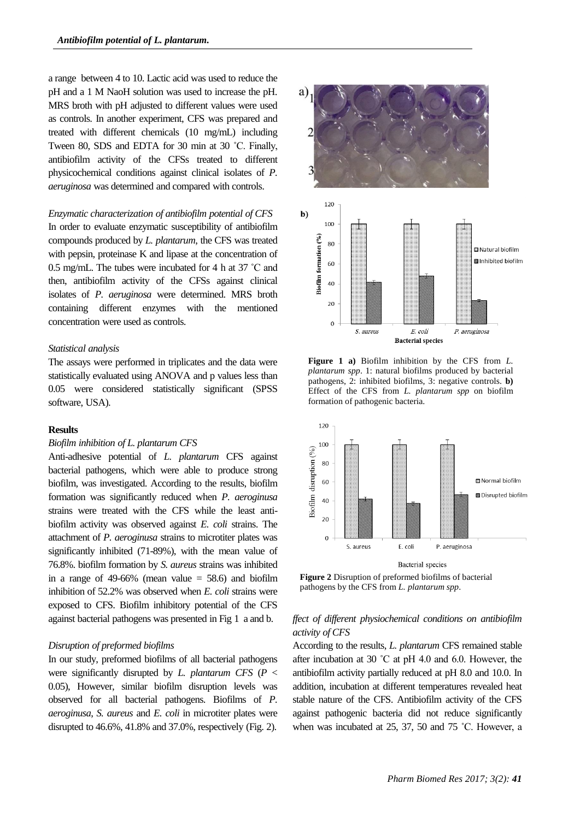a range between 4 to 10. Lactic acid was used to reduce the pH and a 1 M NaoH solution was used to increase the pH. MRS broth with pH adjusted to different values were used as controls. In another experiment, CFS was prepared and treated with different chemicals (10 mg/mL) including Tween 80, SDS and EDTA for 30 min at 30 ˚C. Finally, antibiofilm activity of the CFSs treated to different physicochemical conditions against clinical isolates of *P. aeruginosa* was determined and compared with controls.

## *Enzymatic characterization of antibiofilm potential of CFS*

In order to evaluate enzymatic susceptibility of antibiofilm compounds produced by *L. plantarum*, the CFS was treated with pepsin, proteinase K and lipase at the concentration of 0.5 mg/mL. The tubes were incubated for 4 h at 37 ˚C and then, antibiofilm activity of the CFSs against clinical isolates of *P. aeruginosa* were determined. MRS broth containing different enzymes with the mentioned concentration were used as controls.

#### *Statistical analysis*

The assays were performed in triplicates and the data were statistically evaluated using ANOVA and p values less than 0.05 were considered statistically significant (SPSS software, USA).

#### **Results**

#### *Biofilm inhibition of L. plantarum CFS*

Anti-adhesive potential of *L. plantarum* CFS against bacterial pathogens, which were able to produce strong biofilm, was investigated. According to the results, biofilm formation was significantly reduced when *P. aeroginusa* strains were treated with the CFS while the least antibiofilm activity was observed against *E. coli* strains. The attachment of *P. aeroginusa* strains to microtiter plates was significantly inhibited (71-89%), with the mean value of 76.8%. biofilm formation by *S. aureus* strains was inhibited in a range of 49-66% (mean value  $=$  58.6) and biofilm inhibition of 52.2% was observed when *E. coli* strains were exposed to CFS. Biofilm inhibitory potential of the CFS against bacterial pathogens was presented in Fig 1 a and b.

#### *Disruption of preformed biofilms*

In our study, preformed biofilms of all bacterial pathogens were significantly disrupted by *L. plantarum CFS* (*P* < 0.05), However, similar biofilm disruption levels was observed for all bacterial pathogens. Biofilms of *P. aeroginusa*, *S. aureus* and *E. coli* in microtiter plates were disrupted to 46.6%, 41.8% and 37.0%, respectively (Fig. 2).



**Figure 1 a)** Biofilm inhibition by the CFS from *L. plantarum spp*. 1: natural biofilms produced by bacterial pathogens, 2: inhibited biofilms, 3: negative controls. **b)**  Effect of the CFS from *L. plantarum spp* on biofilm formation of pathogenic bacteria.



**Figure 2** Disruption of preformed biofilms of bacterial pathogens by the CFS from *L. plantarum spp*.

## *ffect of different physiochemical conditions on antibiofilm activity of CFS*

According to the results, *L. plantarum* CFS remained stable after incubation at 30 ˚C at pH 4.0 and 6.0. However, the antibiofilm activity partially reduced at pH 8.0 and 10.0. In addition, incubation at different temperatures revealed heat stable nature of the CFS. Antibiofilm activity of the CFS against pathogenic bacteria did not reduce significantly when was incubated at 25, 37, 50 and 75 ˚C. However, a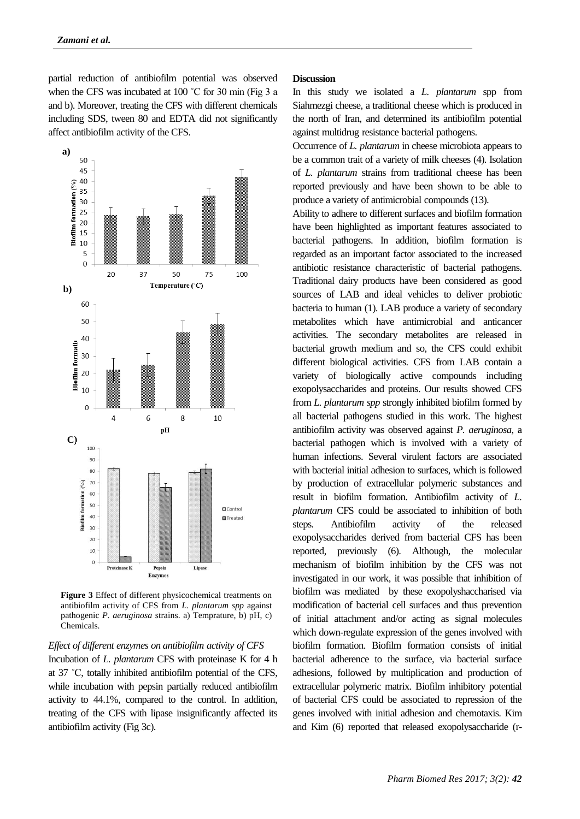partial reduction of antibiofilm potential was observed when the CFS was incubated at 100 °C for 30 min (Fig 3 a and b). Moreover, treating the CFS with different chemicals including SDS, tween 80 and EDTA did not significantly affect antibiofilm activity of the CFS.



**Figure 3** Effect of different physicochemical treatments on antibiofilm activity of CFS from *L. plantarum spp* against pathogenic *P. aeruginosa* strains. a) Temprature, b) pH, c) Chemicals.

#### *Effect of different enzymes on antibiofilm activity of CFS*

Incubation of *L. plantarum* CFS with proteinase K for 4 h at 37 ˚C, totally inhibited antibiofilm potential of the CFS, while incubation with pepsin partially reduced antibiofilm activity to 44.1%, compared to the control. In addition, treating of the CFS with lipase insignificantly affected its antibiofilm activity (Fig 3c).

#### **Discussion**

In this study we isolated a *L. plantarum* spp from Siahmezgi cheese, a traditional cheese which is produced in the north of Iran, and determined its antibiofilm potential against multidrug resistance bacterial pathogens.

Occurrence of *L. plantarum* in cheese microbiota appears to be a common trait of a variety of milk cheeses (4). Isolation of *L. plantarum* strains from traditional cheese has been reported previously and have been shown to be able to produce a variety of antimicrobial compounds (13).

Ability to adhere to different surfaces and biofilm formation have been highlighted as important features associated to bacterial pathogens. In addition, biofilm formation is regarded as an important factor associated to the increased antibiotic resistance characteristic of bacterial pathogens. Traditional dairy products have been considered as good sources of LAB and ideal vehicles to deliver probiotic bacteria to human (1). LAB produce a variety of secondary metabolites which have antimicrobial and anticancer activities. The secondary metabolites are released in bacterial growth medium and so, the CFS could exhibit different biological activities. CFS from LAB contain a variety of biologically active compounds including exopolysaccharides and proteins. Our results showed CFS from *L. plantarum spp* strongly inhibited biofilm formed by all bacterial pathogens studied in this work. The highest antibiofilm activity was observed against *P. aeruginosa*, a bacterial pathogen which is involved with a variety of human infections. Several virulent factors are associated with bacterial initial adhesion to surfaces, which is followed by production of extracellular polymeric substances and result in biofilm formation. Antibiofilm activity of *L. plantarum* CFS could be associated to inhibition of both steps. Antibiofilm activity of the released exopolysaccharides derived from bacterial CFS has been reported, previously (6). Although, the molecular mechanism of biofilm inhibition by the CFS was not investigated in our work, it was possible that inhibition of biofilm was mediated by these exopolyshaccharised via modification of bacterial cell surfaces and thus prevention of initial attachment and/or acting as signal molecules which down-regulate expression of the genes involved with biofilm formation. Biofilm formation consists of initial bacterial adherence to the surface, via bacterial surface adhesions, followed by multiplication and production of extracellular polymeric matrix. Biofilm inhibitory potential of bacterial CFS could be associated to repression of the genes involved with initial adhesion and chemotaxis. Kim and Kim (6) reported that released exopolysaccharide (r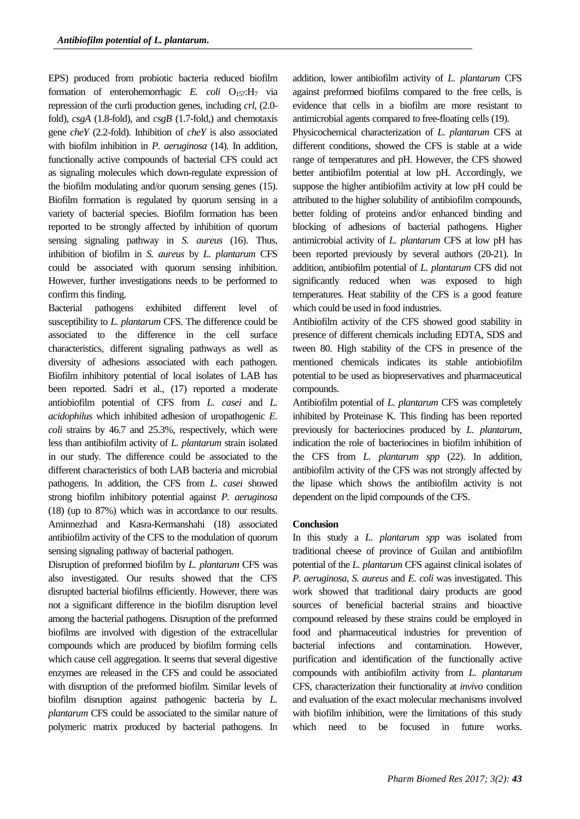EPS) produced from probiotic bacteria reduced biofilm formation of enterohemorrhagic *E. coli* O<sub>157</sub>:H<sub>7</sub> via repression of the curli production genes, including *crl*, (2.0 fold), *csgA* (1.8-fold), and *csgB* (1.7-fold,) and chemotaxis gene *cheY* (2.2-fold). Inhibition of *cheY* is also associated with biofilm inhibition in *P. aeruginosa* (14). In addition, functionally active compounds of bacterial CFS could act as signaling molecules which down-regulate expression of the biofilm modulating and/or quorum sensing genes (15). Biofilm formation is regulated by quorum sensing in a variety of bacterial species. Biofilm formation has been reported to be strongly affected by inhibition of quorum sensing signaling pathway in *S. aureus* (16). Thus, inhibition of biofilm in *S. aureus* by *L. plantarum* CFS could be associated with quorum sensing inhibition. However, further investigations needs to be performed to confirm this finding.

Bacterial pathogens exhibited different level of susceptibility to *L. plantarum* CFS. The difference could be associated to the difference in the cell surface characteristics, different signaling pathways as well as diversity of adhesions associated with each pathogen. Biofilm inhibitory potential of local isolates of LAB has been reported. Sadri et al., (17) reported a moderate antiobiofilm potential of CFS from *L. casei* and *L. acidophilus* which inhibited adhesion of uropathogenic *E. coli* strains by 46.7 and 25.3%, respectively, which were less than antibiofilm activity of *L. plantarum* strain isolated in our study. The difference could be associated to the different characteristics of both LAB bacteria and microbial pathogens. In addition, the CFS from *L. casei* showed strong biofilm inhibitory potential against *P. aeruginosa* (18) (up to 87%) which was in accordance to our results. Aminnezhad and Kasra-Kermanshahi (18) associated antibiofilm activity of the CFS to the modulation of quorum sensing signaling pathway of bacterial pathogen.

Disruption of preformed biofilm by *L. plantarum* CFS was also investigated. Our results showed that the CFS disrupted bacterial biofilms efficiently. However, there was not a significant difference in the biofilm disruption level among the bacterial pathogens. Disruption of the preformed biofilms are involved with digestion of the extracellular compounds which are produced by biofilm forming cells which cause cell aggregation. It seems that several digestive enzymes are released in the CFS and could be associated with disruption of the preformed biofilm. Similar levels of biofilm disruption against pathogenic bacteria by *L. plantarum* CFS could be associated to the similar nature of polymeric matrix produced by bacterial pathogens. In

addition, lower antibiofilm activity of *L. plantarum* CFS against preformed biofilms compared to the free cells, is evidence that cells in a biofilm are more resistant to antimicrobial agents compared to free-floating cells (19).

Physicochemical characterization of *L. plantarum* CFS at different conditions, showed the CFS is stable at a wide range of temperatures and pH. However, the CFS showed better antibiofilm potential at low pH. Accordingly, we suppose the higher antibiofilm activity at low pH could be attributed to the higher solubility of antibiofilm compounds, better folding of proteins and/or enhanced binding and blocking of adhesions of bacterial pathogens. Higher antimicrobial activity of *L. plantarum* CFS at low pH has been reported previously by several authors (20-21). In addition, antibiofilm potential of *L. plantarum* CFS did not significantly reduced when was exposed to high temperatures. Heat stability of the CFS is a good feature which could be used in food industries.

Antibiofilm activity of the CFS showed good stability in presence of different chemicals including EDTA, SDS and tween 80. High stability of the CFS in presence of the mentioned chemicals indicates its stable antiobiofilm potential to be used as biopreservatives and pharmaceutical compounds.

Antibiofilm potential of *L. plantarum* CFS was completely inhibited by Proteinase K. This finding has been reported previously for bacteriocines produced by *L. plantarum*, indication the role of bacteriocines in biofilm inhibition of the CFS from *L. plantarum spp* (22). In addition, antibiofilm activity of the CFS was not strongly affected by the lipase which shows the antibiofilm activity is not dependent on the lipid compounds of the CFS.

#### **Conclusion**

In this study a *L. plantarum spp* was isolated from traditional cheese of province of Guilan and antibiofilm potential of the *L. plantarum* CFS against clinical isolates of *P. aeruginosa*, *S. aureus* and *E. coli* was investigated. This work showed that traditional dairy products are good sources of beneficial bacterial strains and bioactive compound released by these strains could be employed in food and pharmaceutical industries for prevention of bacterial infections and contamination. However, purification and identification of the functionally active compounds with antibiofilm activity from *L. plantarum* CFS, characterization their functionality at *invivo* condition and evaluation of the exact molecular mechanisms involved with biofilm inhibition, were the limitations of this study which need to be focused in future works.